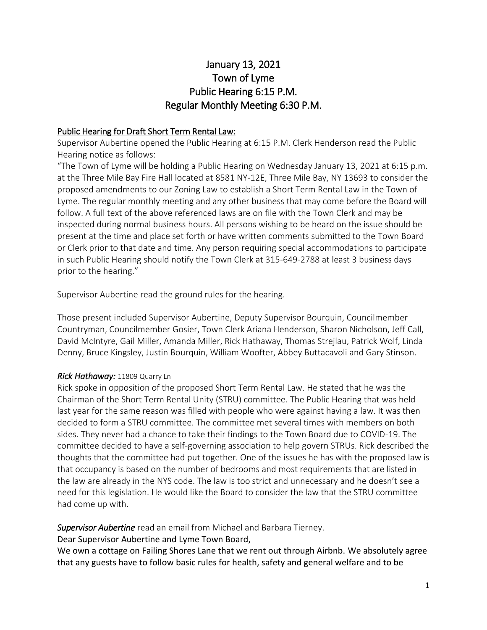# January 13, 2021 Town of Lyme Public Hearing 6:15 P.M. Regular Monthly Meeting 6:30 P.M.

## Public Hearing for Draft Short Term Rental Law:

Supervisor Aubertine opened the Public Hearing at 6:15 P.M. Clerk Henderson read the Public Hearing notice as follows:

"The Town of Lyme will be holding a Public Hearing on Wednesday January 13, 2021 at 6:15 p.m. at the Three Mile Bay Fire Hall located at 8581 NY-12E, Three Mile Bay, NY 13693 to consider the proposed amendments to our Zoning Law to establish a Short Term Rental Law in the Town of Lyme. The regular monthly meeting and any other business that may come before the Board will follow. A full text of the above referenced laws are on file with the Town Clerk and may be inspected during normal business hours. All persons wishing to be heard on the issue should be present at the time and place set forth or have written comments submitted to the Town Board or Clerk prior to that date and time. Any person requiring special accommodations to participate in such Public Hearing should notify the Town Clerk at 315-649-2788 at least 3 business days prior to the hearing."

Supervisor Aubertine read the ground rules for the hearing.

Those present included Supervisor Aubertine, Deputy Supervisor Bourquin, Councilmember Countryman, Councilmember Gosier, Town Clerk Ariana Henderson, Sharon Nicholson, Jeff Call, David McIntyre, Gail Miller, Amanda Miller, Rick Hathaway, Thomas Strejlau, Patrick Wolf, Linda Denny, Bruce Kingsley, Justin Bourquin, William Woofter, Abbey Buttacavoli and Gary Stinson.

## *Rick Hathaway:* 11809 Quarry Ln

Rick spoke in opposition of the proposed Short Term Rental Law. He stated that he was the Chairman of the Short Term Rental Unity (STRU) committee. The Public Hearing that was held last year for the same reason was filled with people who were against having a law. It was then decided to form a STRU committee. The committee met several times with members on both sides. They never had a chance to take their findings to the Town Board due to COVID-19. The committee decided to have a self-governing association to help govern STRUs. Rick described the thoughts that the committee had put together. One of the issues he has with the proposed law is that occupancy is based on the number of bedrooms and most requirements that are listed in the law are already in the NYS code. The law is too strict and unnecessary and he doesn't see a need for this legislation. He would like the Board to consider the law that the STRU committee had come up with.

## *Supervisor Aubertine* read an email from Michael and Barbara Tierney.

Dear Supervisor Aubertine and Lyme Town Board,

We own a cottage on Failing Shores Lane that we rent out through Airbnb. We absolutely agree that any guests have to follow basic rules for health, safety and general welfare and to be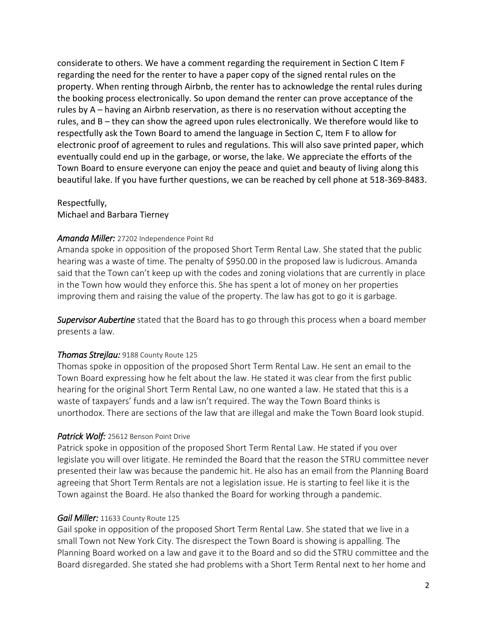considerate to others. We have a comment regarding the requirement in Section C Item F regarding the need for the renter to have a paper copy of the signed rental rules on the property. When renting through Airbnb, the renter has to acknowledge the rental rules during the booking process electronically. So upon demand the renter can prove acceptance of the rules by A – having an Airbnb reservation, as there is no reservation without accepting the rules, and B – they can show the agreed upon rules electronically. We therefore would like to respectfully ask the Town Board to amend the language in Section C, Item F to allow for electronic proof of agreement to rules and regulations. This will also save printed paper, which eventually could end up in the garbage, or worse, the lake. We appreciate the efforts of the Town Board to ensure everyone can enjoy the peace and quiet and beauty of living along this beautiful lake. If you have further questions, we can be reached by cell phone at 518-369-8483.

Respectfully, Michael and Barbara Tierney

#### *Amanda Miller:* 27202 Independence Point Rd

Amanda spoke in opposition of the proposed Short Term Rental Law. She stated that the public hearing was a waste of time. The penalty of \$950.00 in the proposed law is ludicrous. Amanda said that the Town can't keep up with the codes and zoning violations that are currently in place in the Town how would they enforce this. She has spent a lot of money on her properties improving them and raising the value of the property. The law has got to go it is garbage.

*Supervisor Aubertine* stated that the Board has to go through this process when a board member presents a law.

## *Thomas Strejlau:* 9188 County Route 125

Thomas spoke in opposition of the proposed Short Term Rental Law. He sent an email to the Town Board expressing how he felt about the law. He stated it was clear from the first public hearing for the original Short Term Rental Law, no one wanted a law. He stated that this is a waste of taxpayers' funds and a law isn't required. The way the Town Board thinks is unorthodox. There are sections of the law that are illegal and make the Town Board look stupid.

## *Patrick Wolf:* 25612 Benson Point Drive

Patrick spoke in opposition of the proposed Short Term Rental Law. He stated if you over legislate you will over litigate. He reminded the Board that the reason the STRU committee never presented their law was because the pandemic hit. He also has an email from the Planning Board agreeing that Short Term Rentals are not a legislation issue. He is starting to feel like it is the Town against the Board. He also thanked the Board for working through a pandemic.

#### *Gail Miller:* 11633 County Route 125

Gail spoke in opposition of the proposed Short Term Rental Law. She stated that we live in a small Town not New York City. The disrespect the Town Board is showing is appalling. The Planning Board worked on a law and gave it to the Board and so did the STRU committee and the Board disregarded. She stated she had problems with a Short Term Rental next to her home and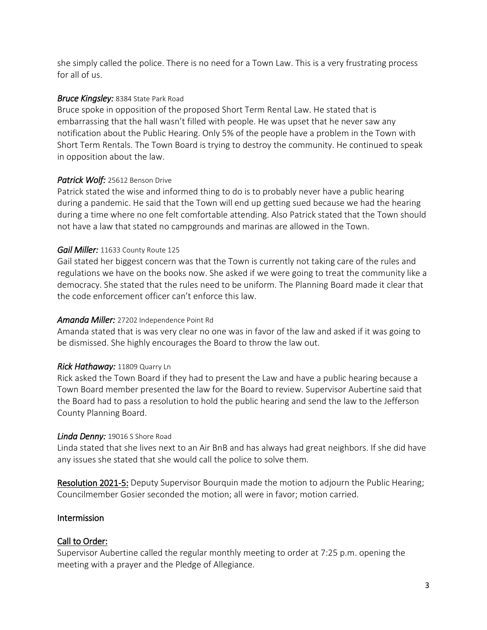she simply called the police. There is no need for a Town Law. This is a very frustrating process for all of us.

## *Bruce Kingsley:* 8384 State Park Road

Bruce spoke in opposition of the proposed Short Term Rental Law. He stated that is embarrassing that the hall wasn't filled with people. He was upset that he never saw any notification about the Public Hearing. Only 5% of the people have a problem in the Town with Short Term Rentals. The Town Board is trying to destroy the community. He continued to speak in opposition about the law.

# *Patrick Wolf:* 25612 Benson Drive

Patrick stated the wise and informed thing to do is to probably never have a public hearing during a pandemic. He said that the Town will end up getting sued because we had the hearing during a time where no one felt comfortable attending. Also Patrick stated that the Town should not have a law that stated no campgrounds and marinas are allowed in the Town.

# *Gail Miller:* 11633 County Route 125

Gail stated her biggest concern was that the Town is currently not taking care of the rules and regulations we have on the books now. She asked if we were going to treat the community like a democracy. She stated that the rules need to be uniform. The Planning Board made it clear that the code enforcement officer can't enforce this law.

# *Amanda Miller:* 27202 Independence Point Rd

Amanda stated that is was very clear no one was in favor of the law and asked if it was going to be dismissed. She highly encourages the Board to throw the law out.

# *Rick Hathaway:* 11809 Quarry Ln

Rick asked the Town Board if they had to present the Law and have a public hearing because a Town Board member presented the law for the Board to review. Supervisor Aubertine said that the Board had to pass a resolution to hold the public hearing and send the law to the Jefferson County Planning Board.

# *Linda Denny:* 19016 S Shore Road

Linda stated that she lives next to an Air BnB and has always had great neighbors. If she did have any issues she stated that she would call the police to solve them.

Resolution 2021-5: Deputy Supervisor Bourquin made the motion to adjourn the Public Hearing; Councilmember Gosier seconded the motion; all were in favor; motion carried.

# Intermission

# Call to Order:

Supervisor Aubertine called the regular monthly meeting to order at 7:25 p.m. opening the meeting with a prayer and the Pledge of Allegiance.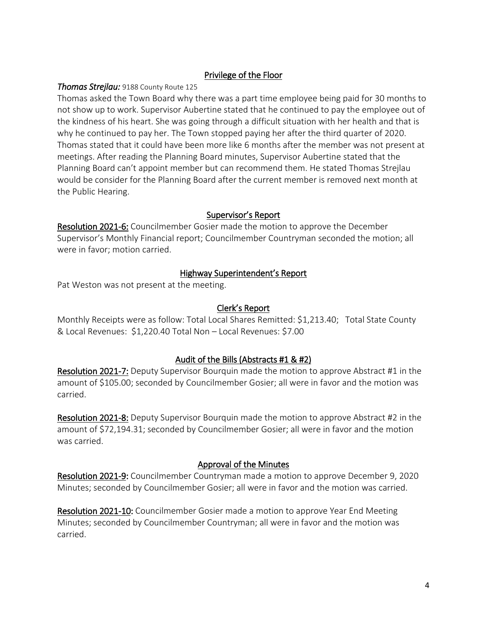# Privilege of the Floor

#### *Thomas Strejlau:* 9188 County Route 125

Thomas asked the Town Board why there was a part time employee being paid for 30 months to not show up to work. Supervisor Aubertine stated that he continued to pay the employee out of the kindness of his heart. She was going through a difficult situation with her health and that is why he continued to pay her. The Town stopped paying her after the third quarter of 2020. Thomas stated that it could have been more like 6 months after the member was not present at meetings. After reading the Planning Board minutes, Supervisor Aubertine stated that the Planning Board can't appoint member but can recommend them. He stated Thomas Strejlau would be consider for the Planning Board after the current member is removed next month at the Public Hearing.

#### Supervisor's Report

Resolution 2021-6: Councilmember Gosier made the motion to approve the December Supervisor's Monthly Financial report; Councilmember Countryman seconded the motion; all were in favor; motion carried.

#### Highway Superintendent's Report

Pat Weston was not present at the meeting.

## Clerk's Report

Monthly Receipts were as follow: Total Local Shares Remitted: \$1,213.40; Total State County & Local Revenues: \$1,220.40 Total Non – Local Revenues: \$7.00

## Audit of the Bills (Abstracts #1 & #2)

Resolution 2021-7: Deputy Supervisor Bourquin made the motion to approve Abstract #1 in the amount of \$105.00; seconded by Councilmember Gosier; all were in favor and the motion was carried.

Resolution 2021-8: Deputy Supervisor Bourquin made the motion to approve Abstract #2 in the amount of \$72,194.31; seconded by Councilmember Gosier; all were in favor and the motion was carried.

## Approval of the Minutes

Resolution 2021-9: Councilmember Countryman made a motion to approve December 9, 2020 Minutes; seconded by Councilmember Gosier; all were in favor and the motion was carried.

Resolution 2021-10: Councilmember Gosier made a motion to approve Year End Meeting Minutes; seconded by Councilmember Countryman; all were in favor and the motion was carried.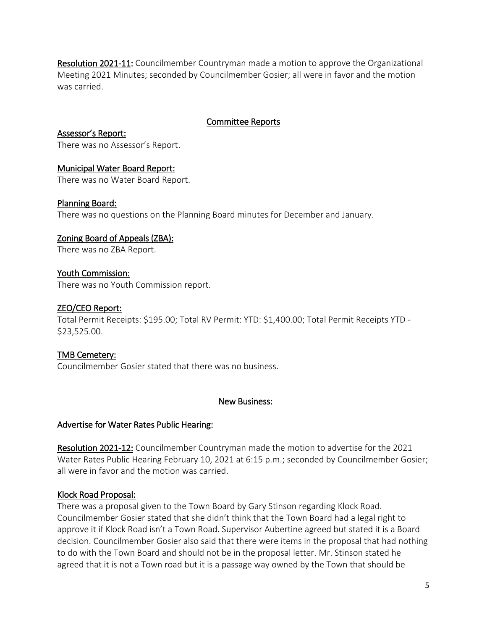Resolution 2021-11: Councilmember Countryman made a motion to approve the Organizational Meeting 2021 Minutes; seconded by Councilmember Gosier; all were in favor and the motion was carried.

## Committee Reports

Assessor's Report: There was no Assessor's Report.

## Municipal Water Board Report:

There was no Water Board Report.

## Planning Board:

There was no questions on the Planning Board minutes for December and January.

## Zoning Board of Appeals (ZBA):

There was no ZBA Report.

#### Youth Commission:

There was no Youth Commission report.

## ZEO/CEO Report:

Total Permit Receipts: \$195.00; Total RV Permit: YTD: \$1,400.00; Total Permit Receipts YTD - \$23,525.00.

## TMB Cemetery:

Councilmember Gosier stated that there was no business.

#### New Business:

## Advertise for Water Rates Public Hearing:

Resolution 2021-12: Councilmember Countryman made the motion to advertise for the 2021 Water Rates Public Hearing February 10, 2021 at 6:15 p.m.; seconded by Councilmember Gosier; all were in favor and the motion was carried.

## Klock Road Proposal:

There was a proposal given to the Town Board by Gary Stinson regarding Klock Road. Councilmember Gosier stated that she didn't think that the Town Board had a legal right to approve it if Klock Road isn't a Town Road. Supervisor Aubertine agreed but stated it is a Board decision. Councilmember Gosier also said that there were items in the proposal that had nothing to do with the Town Board and should not be in the proposal letter. Mr. Stinson stated he agreed that it is not a Town road but it is a passage way owned by the Town that should be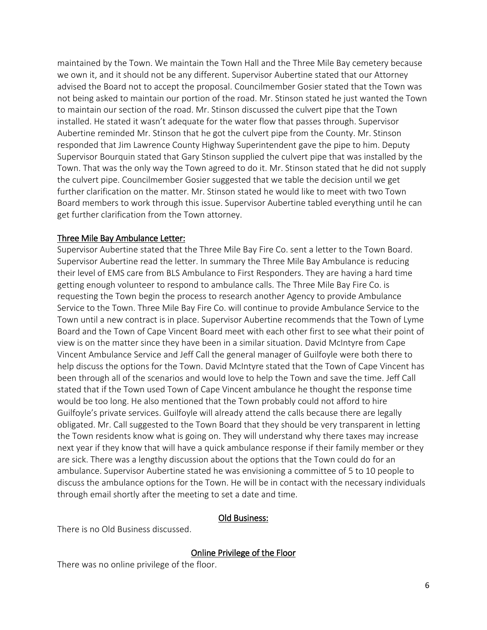maintained by the Town. We maintain the Town Hall and the Three Mile Bay cemetery because we own it, and it should not be any different. Supervisor Aubertine stated that our Attorney advised the Board not to accept the proposal. Councilmember Gosier stated that the Town was not being asked to maintain our portion of the road. Mr. Stinson stated he just wanted the Town to maintain our section of the road. Mr. Stinson discussed the culvert pipe that the Town installed. He stated it wasn't adequate for the water flow that passes through. Supervisor Aubertine reminded Mr. Stinson that he got the culvert pipe from the County. Mr. Stinson responded that Jim Lawrence County Highway Superintendent gave the pipe to him. Deputy Supervisor Bourquin stated that Gary Stinson supplied the culvert pipe that was installed by the Town. That was the only way the Town agreed to do it. Mr. Stinson stated that he did not supply the culvert pipe. Councilmember Gosier suggested that we table the decision until we get further clarification on the matter. Mr. Stinson stated he would like to meet with two Town Board members to work through this issue. Supervisor Aubertine tabled everything until he can get further clarification from the Town attorney.

#### Three Mile Bay Ambulance Letter:

Supervisor Aubertine stated that the Three Mile Bay Fire Co. sent a letter to the Town Board. Supervisor Aubertine read the letter. In summary the Three Mile Bay Ambulance is reducing their level of EMS care from BLS Ambulance to First Responders. They are having a hard time getting enough volunteer to respond to ambulance calls. The Three Mile Bay Fire Co. is requesting the Town begin the process to research another Agency to provide Ambulance Service to the Town. Three Mile Bay Fire Co. will continue to provide Ambulance Service to the Town until a new contract is in place. Supervisor Aubertine recommends that the Town of Lyme Board and the Town of Cape Vincent Board meet with each other first to see what their point of view is on the matter since they have been in a similar situation. David McIntyre from Cape Vincent Ambulance Service and Jeff Call the general manager of Guilfoyle were both there to help discuss the options for the Town. David McIntyre stated that the Town of Cape Vincent has been through all of the scenarios and would love to help the Town and save the time. Jeff Call stated that if the Town used Town of Cape Vincent ambulance he thought the response time would be too long. He also mentioned that the Town probably could not afford to hire Guilfoyle's private services. Guilfoyle will already attend the calls because there are legally obligated. Mr. Call suggested to the Town Board that they should be very transparent in letting the Town residents know what is going on. They will understand why there taxes may increase next year if they know that will have a quick ambulance response if their family member or they are sick. There was a lengthy discussion about the options that the Town could do for an ambulance. Supervisor Aubertine stated he was envisioning a committee of 5 to 10 people to discuss the ambulance options for the Town. He will be in contact with the necessary individuals through email shortly after the meeting to set a date and time.

#### Old Business:

There is no Old Business discussed.

Online Privilege of the Floor

There was no online privilege of the floor.